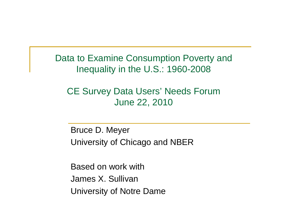Data to Examine Consumption Poverty and Inequality in the U.S.: 1960-2008

#### CE Surve y Data Users' Needs Forum June 22, 2010

Bruce D. Meyer University of Chicago and NBER

Based on work withJames X. Sullivan University of Notre Dame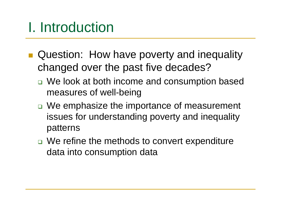## I. Introduction

- **Question: How have poverty and inequality** changed over the past five decades?
	- □ We look at both income and consumption based measures of well-being
	- □ We emphasize the importance of measurement issues for understanding poverty and inequality patterns
	- □ We refine the methods to convert expenditure data into consumption data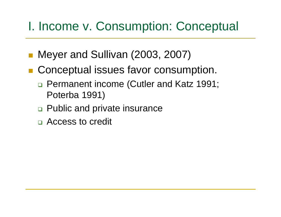#### I. Income v. Consumption: Conceptual

- Meyer and Sullivan (2003, 2007)
- **E** Conceptual issues favor consumption.
	- □ Permanent income (Cutler and Katz 1991; Poterba 1991)
	- □ Public and private insurance
	- **□ Access to credit**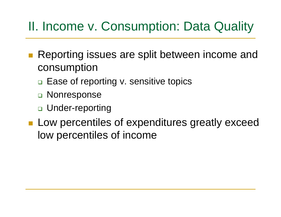#### II. Income v. Consumption: Data Quality

- Reporting issues are split between income and consumption
	- □ Ease of reporting v. sensitive topics
	- □ Nonresponse
	- □ Under-reporting
- $\blacksquare$  Low percentiles of expenditures greatly exceed low percentiles of income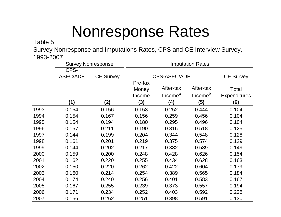# Nonresponse Rates

#### Table :

Survey Nonresponse and Imputations Rates, CPS and CE Interview Survey, 1993-2007

|      | <b>Survey Nonresponse</b> |                  | <b>Imputation Rates</b>           |                                         |                                         |                                     |
|------|---------------------------|------------------|-----------------------------------|-----------------------------------------|-----------------------------------------|-------------------------------------|
|      | CPS-<br><b>ASEC/ADF</b>   | <b>CE Survey</b> | <b>CPS-ASEC/ADF</b>               |                                         | <b>CE Survey</b>                        |                                     |
|      | (1)                       | (2)              | Pre-tax<br>Money<br>Income<br>(3) | After-tax<br>Income <sup>a</sup><br>(4) | After-tax<br>Income <sup>b</sup><br>(5) | Total<br><b>Expenditures</b><br>(6) |
| 1993 | 0.154                     | 0.156            | 0.153                             | 0.252                                   | 0.444                                   | 0.104                               |
| 1994 | 0.154                     | 0.167            | 0.156                             | 0.259                                   | 0.456                                   | 0.104                               |
| 1995 | 0.154                     | 0.194            | 0.180                             | 0.295                                   | 0.496                                   | 0.104                               |
| 1996 | 0.157                     | 0.211            | 0.190                             | 0.316                                   | 0.518                                   | 0.125                               |
| 1997 | 0.144                     | 0.199            | 0.204                             | 0.344                                   | 0.548                                   | 0.128                               |
| 1998 | 0.161                     | 0.201            | 0.219                             | 0.375                                   | 0.574                                   | 0.129                               |
| 1999 | 0.144                     | 0.202            | 0.217                             | 0.382                                   | 0.589                                   | 0.149                               |
| 2000 | 0.159                     | 0.200            | 0.248                             | 0.428                                   | 0.626                                   | 0.154                               |
| 2001 | 0.162                     | 0.220            | 0.255                             | 0.434                                   | 0.628                                   | 0.163                               |
| 2002 | 0.150                     | 0.220            | 0.262                             | 0.422                                   | 0.604                                   | 0.179                               |
| 2003 | 0.160                     | 0.214            | 0.254                             | 0.389                                   | 0.565                                   | 0.184                               |
| 2004 | 0.174                     | 0.240            | 0.256                             | 0.401                                   | 0.583                                   | 0.167                               |
| 2005 | 0.167                     | 0.255            | 0.239                             | 0.373                                   | 0.557                                   | 0.194                               |
| 2006 | 0.171                     | 0.234            | 0.252                             | 0.403                                   | 0.592                                   | 0.228                               |
| 2007 | 0.156                     | 0.262            | 0.251                             | 0.398                                   | 0.591                                   | 0.130                               |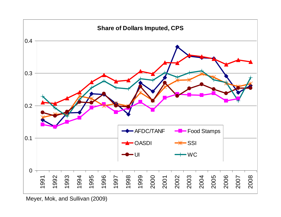

Meyer, Mok, and Sullivan (2009)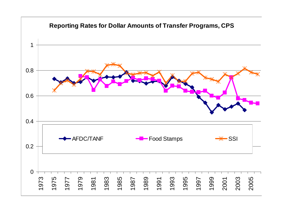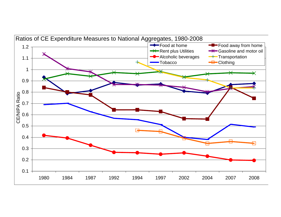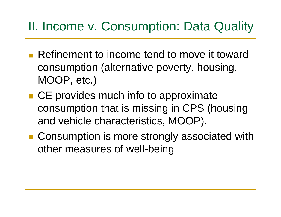#### II. Income v. Consumption: Data Quality

- **Refinement to income tend to move it toward** consumption (alternative poverty, housing, MOOP, etc.)
- $\blacksquare$  CE provides much info to approximate consumption that is missing in CPS (housing and vehicle characteristics, MOOP).
- Consumption is more strongly associated with other measures of well-being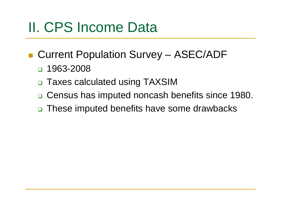## II. CPS Income Data

- Current Population Survey ASEC/ADF
	- □ 1963-2008
	- □ Taxes calculated using TAXSIM
	- □ Census has imputed noncash benefits since 1980.
	- These imputed benefits have some drawbacks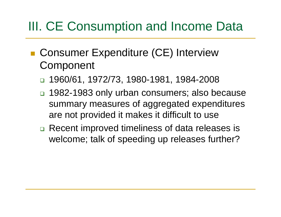#### III. CE Consumption and Income Data

- Consumer Expenditure (CE) Interview **Component** 
	- ❏ 1960/61, 1972/73, 1980-1981, 1984-2008
	- □ 1982-1983 only urban consumers; also because summary measures of aggregated expenditures are not provided it makes it difficult to use
	- □ Recent improved timeliness of data releases is welcome; talk of speeding up releases further?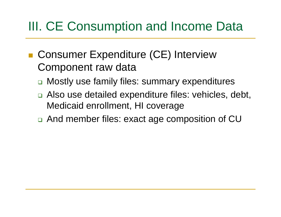#### III. CE Consumption and Income Data

- Consumer Expenditure (CE) Interview Component raw data
	- □ Mostly use family files: summary expenditures
	- $\Box$  Also use detailed expenditure files: vehicles, debt, Medicaid enrollment, HI coverage
	- $\Box$  And member files: exact age composition of CU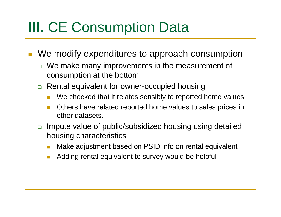## III. CE Consumption Data

 $\mathcal{L}_{\mathcal{A}}$ We modify expenditures to approach consumption

- □ We make many improvements in the measurement of consumption at the bottom
- $\Box$  Rental equivalent for owner-occupied housing
	- m. • We checked that it relates sensibly to reported home values
	- $\mathcal{O}(\mathbb{R})$  Others have related reported home values to sales prices in other datasets.
- □ Impute value of public/subsidized housing using detailed housing characteristics
	- M. **• Make adjustment based on PSID info on rental equivalent**
	- $\mathcal{L}_{\mathcal{A}}$ Adding rental equivalent to survey would be helpful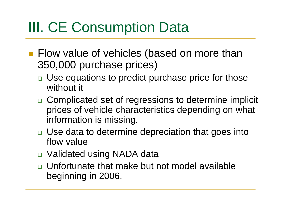# III. CE Consumption Data

- **Filow value of vehicles (based on more than** 350,000 purchase prices)
	- □ Use equations to predict purchase price for those without it
	- □ Complicated set of regressions to determine implicit prices of vehicle characteristics depending on what information is missing.
	- □ Use data to determine depreciation that goes into flow value
	- Validated using NADA data
	- **u.** Unfortunate that make but not model available beginning in 2006.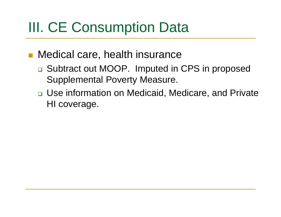## III. CE Consumption Data

- Medical care, health insurance
	- □ Subtract out MOOP. Imputed in CPS in proposed Supplemental Poverty Measure.
	- □ Use information on Medicaid, Medicare, and Private HI coverage.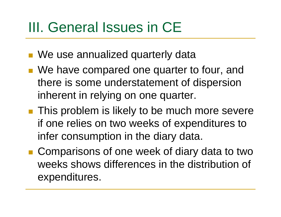## III. General Issues in CE

- We use annualized quarterly data
- **Ne have compared one quarter to four, and** there is some understatement of dispersion inherent in relying on one quarter.
- This problem is likely to be much more severe if one relies on two weeks of expenditures to infer consumption in the diary data.
- Comparisons of one week of diary data to two weeks shows differences in the distribution of expenditures.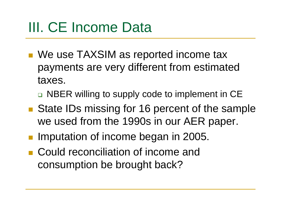# III. CE Income Data

- We use TAXSIM as reported income tax payments are very different from estimated taxes.
	- □ NBER willing to supply code to implement in CE
- State IDs missing for 16 percent of the sample we used from the 1990s in our AER paper.
- **Imputation of income began in 2005.**
- **E** Could reconciliation of income and consumption be brought back?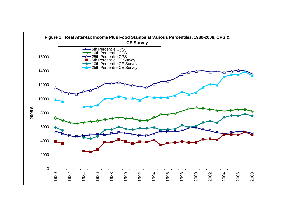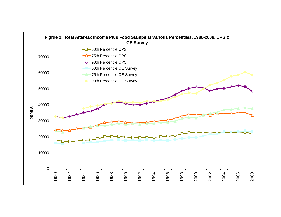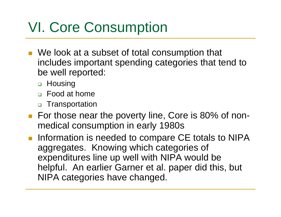## VI. Core Consumption

- We look at a subset of total consumption that includes important spending categories that tend to be well reported:
	- □ Housing
	- Food at home
	- □ Transportation
- For those near the poverty line, Core is 80% of nonmedical consumption in early 1980s
- **Information is needed to compare CE totals to NIPA** aggregates. Knowing which categories of expenditures line up well with NIPA would be helpful. An earlier Garner et al. paper did this, but NIPA categories have changed.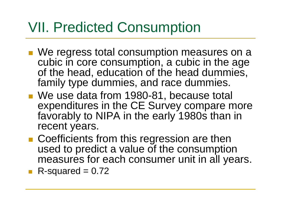### VII. Predicted Consumption

- We regress total consumption measures on a cubic in core consumption, a cubic in the age of the head, education of the head dummies, family type dummies, and race dummies.
- We use data from 1980-81, because total expenditures in the CE Survey compare more favorably to NIPA in the early 1980s than in recent years.
- **Coefficients from this regression are then** used to predict <sup>a</sup> value of the consumption measures for each consumer unit in all years.
- R-squared  $= 0.72$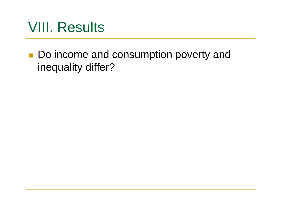#### VIII. Results

■ Do income and consumption poverty and inequality differ?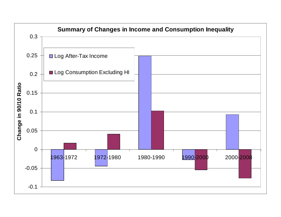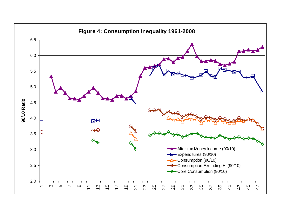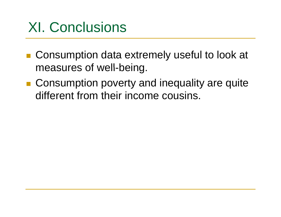### XI. Conclusions

- Consumption data extremely useful to look at measures of well-being.
- Consumption poverty and inequality are quite different from their income cousins.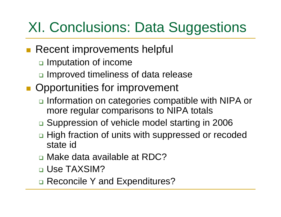## XI. Conclusions: Data Suggestions

- **Recent improvements helpful** 
	- **□ Imputation of income**
	- □ Improved timeliness of data release
- **Opportunities for improvement** 
	- □ Information on categories compatible with NIPA or more regular comparisons to NIPA totals
	- □ Suppression of vehicle model starting in 2006
	- □ High fraction of units with suppressed or recoded state id
	- □ Make data available at RDC?
	- **□ Use TAXSIM?**
	- □ Reconcile Y and Expenditures?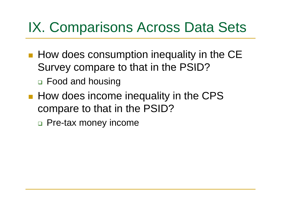#### IX. Comparisons Across Data Sets

- **How does consumption inequality in the CE** Survey compare to that in the PSID? Food and housing
- **How does income inequality in the CPS** compare to that in the PSID?
	- □ Pre-tax money income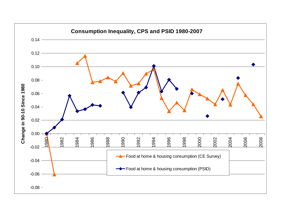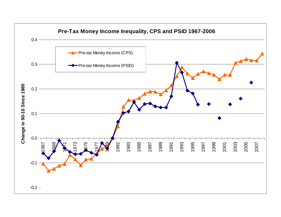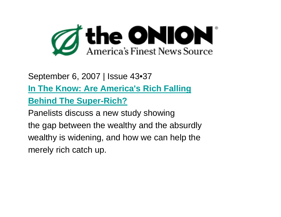

#### September 6, 2007 | Issue 43•37

**In The Know: Are America's Rich Falling**

**Behind The Super-Rich?**

Panelists discuss a new study showing

the gap between the wealthy and the absurdly wealthy is widening, and how we can help the merely rich catch up.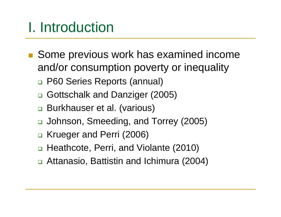## I. Introduction

- Some previous work has examined income and/or consumption poverty or inequality
	- P60 Series Reports (annual)
	- □ Gottschalk and Danziger (2005)
	- □ Burkhauser et al. (various)
	- □ Johnson, Smeeding, and Torrey (2005)
	- □ Krueger and Perri (2006)
	- □ Heathcote, Perri, and Violante (2010)
	- Attanasio, Battistin and Ichimura (2004)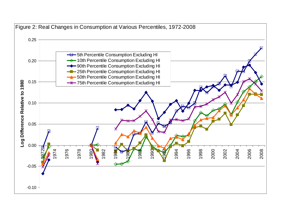